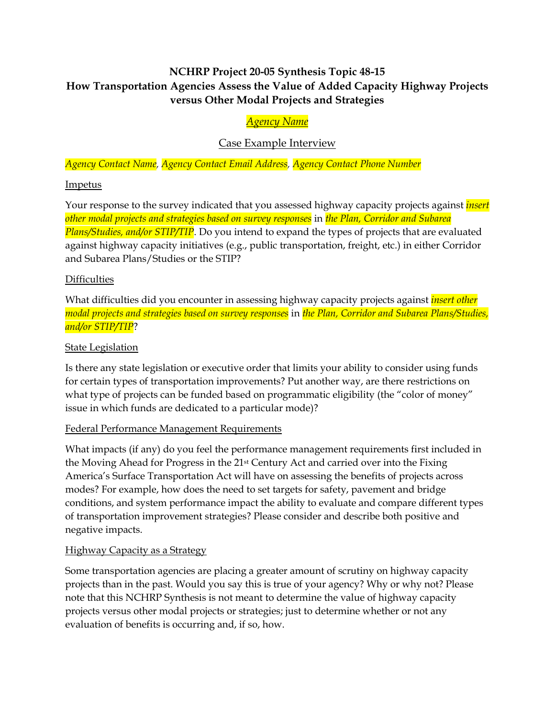# **NCHRP Project 20-05 Synthesis Topic 48-15 How Transportation Agencies Assess the Value of Added Capacity Highway Projects versus Other Modal Projects and Strategies**

## *Agency Name*

## Case Example Interview

*Agency Contact Name, Agency Contact Email Address, Agency Contact Phone Number* 

#### Impetus

Your response to the survey indicated that you assessed highway capacity projects against *insert other modal projects and strategies based on survey responses* in *the Plan, Corridor and Subarea Plans/Studies, and/or STIP/TIP*. Do you intend to expand the types of projects that are evaluated against highway capacity initiatives (e.g., public transportation, freight, etc.) in either Corridor and Subarea Plans/Studies or the STIP?

## **Difficulties**

What difficulties did you encounter in assessing highway capacity projects against *insert other modal projects and strategies based on survey responses* in *the Plan, Corridor and Subarea Plans/Studies, and/or STIP/TIP*?

#### **State Legislation**

Is there any state legislation or executive order that limits your ability to consider using funds for certain types of transportation improvements? Put another way, are there restrictions on what type of projects can be funded based on programmatic eligibility (the "color of money" issue in which funds are dedicated to a particular mode)?

#### Federal Performance Management Requirements

What impacts (if any) do you feel the performance management requirements first included in the Moving Ahead for Progress in the 21st Century Act and carried over into the Fixing America's Surface Transportation Act will have on assessing the benefits of projects across modes? For example, how does the need to set targets for safety, pavement and bridge conditions, and system performance impact the ability to evaluate and compare different types of transportation improvement strategies? Please consider and describe both positive and negative impacts.

## Highway Capacity as a Strategy

Some transportation agencies are placing a greater amount of scrutiny on highway capacity projects than in the past. Would you say this is true of your agency? Why or why not? Please note that this NCHRP Synthesis is not meant to determine the value of highway capacity projects versus other modal projects or strategies; just to determine whether or not any evaluation of benefits is occurring and, if so, how.